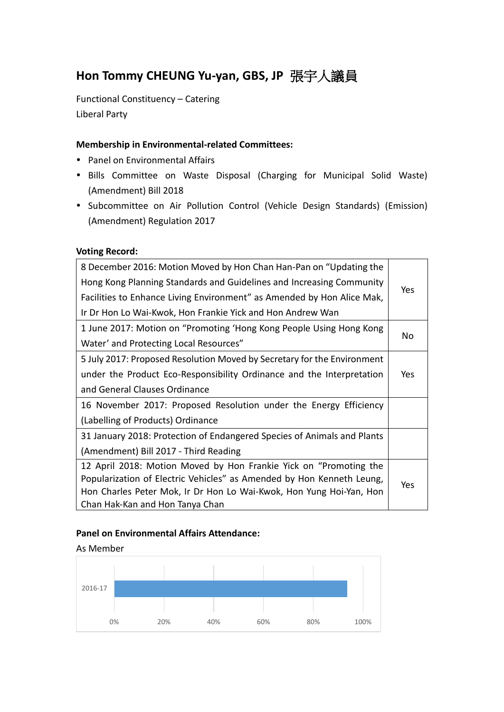# **Hon Tommy CHEUNG Yu-yan, GBS, JP** 張宇人議員

Functional Constituency – Catering Liberal Party

## **Membership in Environmental-related Committees:**

- Panel on Environmental Affairs
- Bills Committee on Waste Disposal (Charging for Municipal Solid Waste) (Amendment) Bill 2018
- Subcommittee on Air Pollution Control (Vehicle Design Standards) (Emission) (Amendment) Regulation 2017

#### **Voting Record:**

| 8 December 2016: Motion Moved by Hon Chan Han-Pan on "Updating the      |            |
|-------------------------------------------------------------------------|------------|
| Hong Kong Planning Standards and Guidelines and Increasing Community    | Yes        |
| Facilities to Enhance Living Environment" as Amended by Hon Alice Mak,  |            |
| Ir Dr Hon Lo Wai-Kwok, Hon Frankie Yick and Hon Andrew Wan              |            |
| 1 June 2017: Motion on "Promoting 'Hong Kong People Using Hong Kong     |            |
| Water' and Protecting Local Resources"                                  | No         |
| 5 July 2017: Proposed Resolution Moved by Secretary for the Environment |            |
| under the Product Eco-Responsibility Ordinance and the Interpretation   | Yes        |
| and General Clauses Ordinance                                           |            |
| 16 November 2017: Proposed Resolution under the Energy Efficiency       |            |
| (Labelling of Products) Ordinance                                       |            |
| 31 January 2018: Protection of Endangered Species of Animals and Plants |            |
| (Amendment) Bill 2017 - Third Reading                                   |            |
| 12 April 2018: Motion Moved by Hon Frankie Yick on "Promoting the       |            |
| Popularization of Electric Vehicles" as Amended by Hon Kenneth Leung,   | <b>Yes</b> |
| Hon Charles Peter Mok, Ir Dr Hon Lo Wai-Kwok, Hon Yung Hoi-Yan, Hon     |            |
| Chan Hak-Kan and Hon Tanya Chan                                         |            |

## **Panel on Environmental Affairs Attendance:**

#### As Member

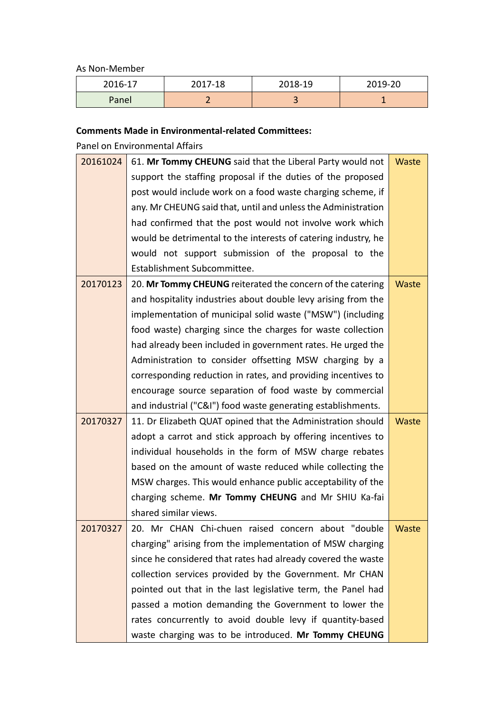As Non-Member

| 2016-17 | 2017-18 | 2018-19 | 2019-20 |
|---------|---------|---------|---------|
| Panel   | ∽       | $\sim$  |         |

## **Comments Made in Environmental-related Committees:**

Panel on Environmental Affairs

| 20161024 | 61. Mr Tommy CHEUNG said that the Liberal Party would not<br>Waste |              |  |
|----------|--------------------------------------------------------------------|--------------|--|
|          | support the staffing proposal if the duties of the proposed        |              |  |
|          | post would include work on a food waste charging scheme, if        |              |  |
|          | any. Mr CHEUNG said that, until and unless the Administration      |              |  |
|          | had confirmed that the post would not involve work which           |              |  |
|          | would be detrimental to the interests of catering industry, he     |              |  |
|          | would not support submission of the proposal to the                |              |  |
|          | Establishment Subcommittee.                                        |              |  |
| 20170123 | 20. Mr Tommy CHEUNG reiterated the concern of the catering         | Waste        |  |
|          | and hospitality industries about double levy arising from the      |              |  |
|          | implementation of municipal solid waste ("MSW") (including         |              |  |
|          | food waste) charging since the charges for waste collection        |              |  |
|          | had already been included in government rates. He urged the        |              |  |
|          | Administration to consider offsetting MSW charging by a            |              |  |
|          | corresponding reduction in rates, and providing incentives to      |              |  |
|          | encourage source separation of food waste by commercial            |              |  |
|          | and industrial ("C&I") food waste generating establishments.       |              |  |
| 20170327 | 11. Dr Elizabeth QUAT opined that the Administration should        | <b>Waste</b> |  |
|          | adopt a carrot and stick approach by offering incentives to        |              |  |
|          | individual households in the form of MSW charge rebates            |              |  |
|          | based on the amount of waste reduced while collecting the          |              |  |
|          | MSW charges. This would enhance public acceptability of the        |              |  |
|          | charging scheme. Mr Tommy CHEUNG and Mr SHIU Ka-fai                |              |  |
|          | shared similar views.                                              |              |  |
| 20170327 | 20. Mr CHAN Chi-chuen raised concern about "double                 | Waste        |  |
|          | charging" arising from the implementation of MSW charging          |              |  |
|          | since he considered that rates had already covered the waste       |              |  |
|          | collection services provided by the Government. Mr CHAN            |              |  |
|          | pointed out that in the last legislative term, the Panel had       |              |  |
|          | passed a motion demanding the Government to lower the              |              |  |
|          | rates concurrently to avoid double levy if quantity-based          |              |  |
|          | waste charging was to be introduced. Mr Tommy CHEUNG               |              |  |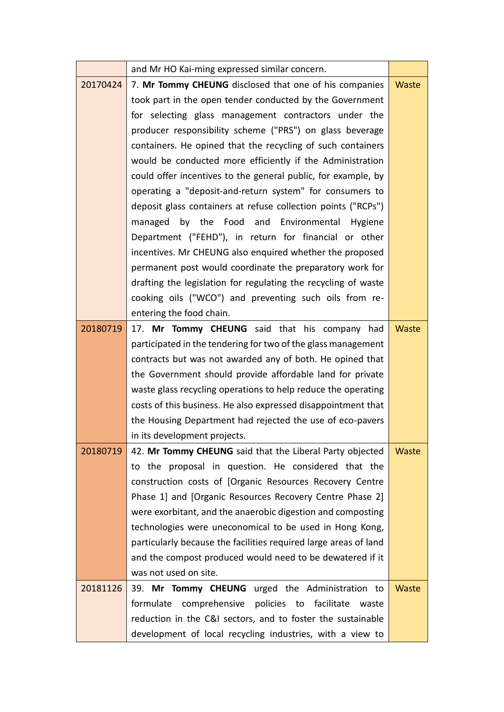|          | and Mr HO Kai-ming expressed similar concern.                    |              |  |  |
|----------|------------------------------------------------------------------|--------------|--|--|
| 20170424 | 7. Mr Tommy CHEUNG disclosed that one of his companies           |              |  |  |
|          | took part in the open tender conducted by the Government         |              |  |  |
|          | for selecting glass management contractors under the             |              |  |  |
|          | producer responsibility scheme ("PRS") on glass beverage         |              |  |  |
|          | containers. He opined that the recycling of such containers      |              |  |  |
|          | would be conducted more efficiently if the Administration        |              |  |  |
|          | could offer incentives to the general public, for example, by    |              |  |  |
|          | operating a "deposit-and-return system" for consumers to         |              |  |  |
|          | deposit glass containers at refuse collection points ("RCPs")    |              |  |  |
|          | by the Food and Environmental Hygiene<br>managed                 |              |  |  |
|          | Department ("FEHD"), in return for financial or other            |              |  |  |
|          | incentives. Mr CHEUNG also enquired whether the proposed         |              |  |  |
|          | permanent post would coordinate the preparatory work for         |              |  |  |
|          | drafting the legislation for regulating the recycling of waste   |              |  |  |
|          | cooking oils ("WCO") and preventing such oils from re-           |              |  |  |
|          | entering the food chain.                                         |              |  |  |
| 20180719 | 17. Mr Tommy CHEUNG said that his company had                    | Waste        |  |  |
|          | participated in the tendering for two of the glass management    |              |  |  |
|          | contracts but was not awarded any of both. He opined that        |              |  |  |
|          | the Government should provide affordable land for private        |              |  |  |
|          | waste glass recycling operations to help reduce the operating    |              |  |  |
|          | costs of this business. He also expressed disappointment that    |              |  |  |
|          | the Housing Department had rejected the use of eco-pavers        |              |  |  |
|          | in its development projects.                                     |              |  |  |
| 20180719 | 42. Mr Tommy CHEUNG said that the Liberal Party objected         | Waste        |  |  |
|          | to the proposal in question. He considered that the              |              |  |  |
|          | construction costs of [Organic Resources Recovery Centre         |              |  |  |
|          | Phase 1] and [Organic Resources Recovery Centre Phase 2]         |              |  |  |
|          | were exorbitant, and the anaerobic digestion and composting      |              |  |  |
|          | technologies were uneconomical to be used in Hong Kong,          |              |  |  |
|          | particularly because the facilities required large areas of land |              |  |  |
|          | and the compost produced would need to be dewatered if it        |              |  |  |
|          | was not used on site.                                            |              |  |  |
| 20181126 | 39. Mr Tommy CHEUNG urged the Administration to                  | <b>Waste</b> |  |  |
|          | comprehensive<br>facilitate<br>formulate<br>policies to<br>waste |              |  |  |
|          | reduction in the C&I sectors, and to foster the sustainable      |              |  |  |
|          | development of local recycling industries, with a view to        |              |  |  |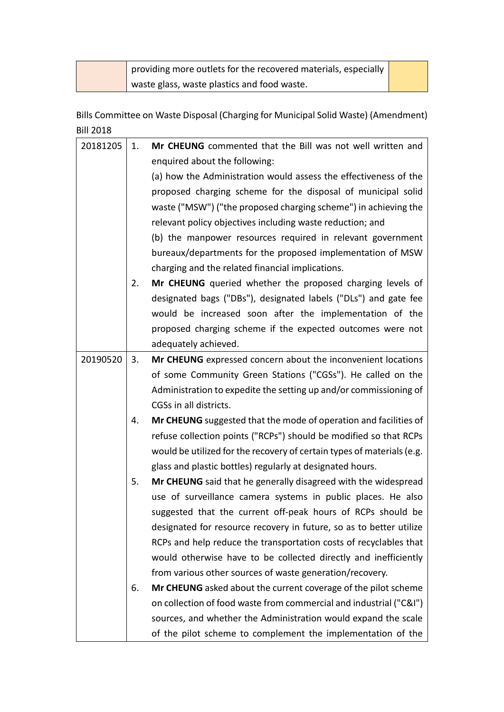|  | $\parallel$ providing more outlets for the recovered materials, especially |  |
|--|----------------------------------------------------------------------------|--|
|  | waste glass, waste plastics and food waste.                                |  |

Bills Committee on Waste Disposal (Charging for Municipal Solid Waste) (Amendment) Bill 2018

| 20181205 | 1. | Mr CHEUNG commented that the Bill was not well written and             |
|----------|----|------------------------------------------------------------------------|
|          |    | enquired about the following:                                          |
|          |    | (a) how the Administration would assess the effectiveness of the       |
|          |    | proposed charging scheme for the disposal of municipal solid           |
|          |    | waste ("MSW") ("the proposed charging scheme") in achieving the        |
|          |    | relevant policy objectives including waste reduction; and              |
|          |    | (b) the manpower resources required in relevant government             |
|          |    | bureaux/departments for the proposed implementation of MSW             |
|          |    | charging and the related financial implications.                       |
|          | 2. | Mr CHEUNG queried whether the proposed charging levels of              |
|          |    | designated bags ("DBs"), designated labels ("DLs") and gate fee        |
|          |    | would be increased soon after the implementation of the                |
|          |    | proposed charging scheme if the expected outcomes were not             |
|          |    | adequately achieved.                                                   |
| 20190520 | 3. | Mr CHEUNG expressed concern about the inconvenient locations           |
|          |    | of some Community Green Stations ("CGSs"). He called on the            |
|          |    | Administration to expedite the setting up and/or commissioning of      |
|          |    | CGSs in all districts.                                                 |
|          | 4. | Mr CHEUNG suggested that the mode of operation and facilities of       |
|          |    | refuse collection points ("RCPs") should be modified so that RCPs      |
|          |    | would be utilized for the recovery of certain types of materials (e.g. |
|          |    | glass and plastic bottles) regularly at designated hours.              |
|          | 5. | Mr CHEUNG said that he generally disagreed with the widespread         |
|          |    | use of surveillance camera systems in public places. He also           |
|          |    | suggested that the current off-peak hours of RCPs should be            |
|          |    | designated for resource recovery in future, so as to better utilize    |
|          |    | RCPs and help reduce the transportation costs of recyclables that      |
|          |    | would otherwise have to be collected directly and inefficiently        |
|          |    | from various other sources of waste generation/recovery.               |
|          | 6. | Mr CHEUNG asked about the current coverage of the pilot scheme         |
|          |    | on collection of food waste from commercial and industrial ("C&I")     |
|          |    | sources, and whether the Administration would expand the scale         |
|          |    | of the pilot scheme to complement the implementation of the            |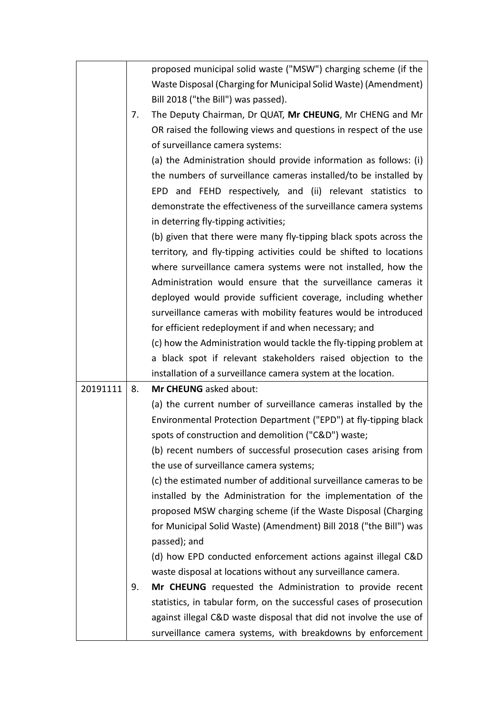|          |    | proposed municipal solid waste ("MSW") charging scheme (if the<br>Waste Disposal (Charging for Municipal Solid Waste) (Amendment) |
|----------|----|-----------------------------------------------------------------------------------------------------------------------------------|
|          |    | Bill 2018 ("the Bill") was passed).                                                                                               |
|          | 7. | The Deputy Chairman, Dr QUAT, Mr CHEUNG, Mr CHENG and Mr                                                                          |
|          |    | OR raised the following views and questions in respect of the use                                                                 |
|          |    | of surveillance camera systems:                                                                                                   |
|          |    | (a) the Administration should provide information as follows: (i)                                                                 |
|          |    | the numbers of surveillance cameras installed/to be installed by                                                                  |
|          |    | EPD and FEHD respectively, and (ii) relevant statistics to                                                                        |
|          |    | demonstrate the effectiveness of the surveillance camera systems                                                                  |
|          |    | in deterring fly-tipping activities;                                                                                              |
|          |    | (b) given that there were many fly-tipping black spots across the                                                                 |
|          |    | territory, and fly-tipping activities could be shifted to locations                                                               |
|          |    | where surveillance camera systems were not installed, how the                                                                     |
|          |    | Administration would ensure that the surveillance cameras it                                                                      |
|          |    | deployed would provide sufficient coverage, including whether                                                                     |
|          |    | surveillance cameras with mobility features would be introduced                                                                   |
|          |    | for efficient redeployment if and when necessary; and                                                                             |
|          |    | (c) how the Administration would tackle the fly-tipping problem at                                                                |
|          |    | a black spot if relevant stakeholders raised objection to the                                                                     |
|          |    | installation of a surveillance camera system at the location.                                                                     |
| 20191111 | 8. | Mr CHEUNG asked about:                                                                                                            |
|          |    | (a) the current number of surveillance cameras installed by the                                                                   |
|          |    | Environmental Protection Department ("EPD") at fly-tipping black                                                                  |
|          |    | spots of construction and demolition ("C&D") waste;                                                                               |
|          |    | (b) recent numbers of successful prosecution cases arising from                                                                   |
|          |    | the use of surveillance camera systems;                                                                                           |
|          |    | (c) the estimated number of additional surveillance cameras to be                                                                 |
|          |    | installed by the Administration for the implementation of the                                                                     |
|          |    | proposed MSW charging scheme (if the Waste Disposal (Charging                                                                     |
|          |    | for Municipal Solid Waste) (Amendment) Bill 2018 ("the Bill") was                                                                 |
|          |    | passed); and                                                                                                                      |
|          |    | (d) how EPD conducted enforcement actions against illegal C&D                                                                     |
|          |    | waste disposal at locations without any surveillance camera.                                                                      |
|          | 9. | Mr CHEUNG requested the Administration to provide recent                                                                          |
|          |    | statistics, in tabular form, on the successful cases of prosecution                                                               |
|          |    | against illegal C&D waste disposal that did not involve the use of                                                                |
|          |    | surveillance camera systems, with breakdowns by enforcement                                                                       |